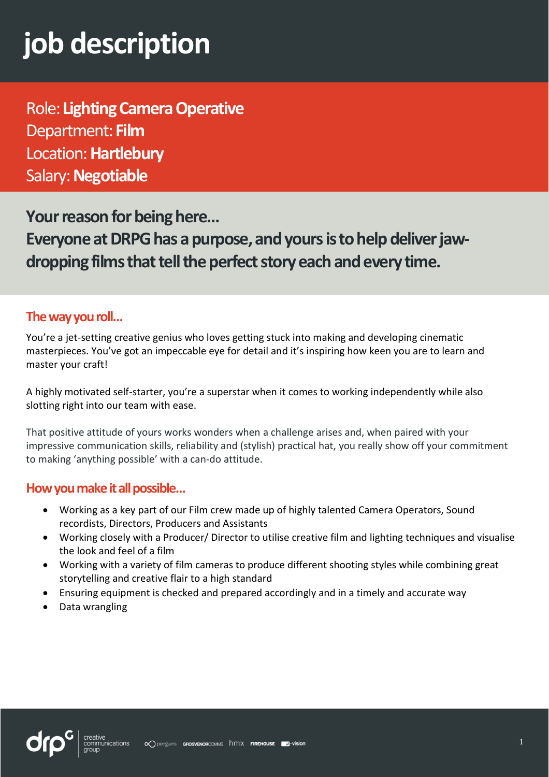# **job description**

Role: **Lighting Camera Operative**  Department: **Film** Location:**Hartlebury** Salary:**Negotiable**

**Your reason for being here...** 

Everyone at DRPG has a purpose, and yours is to help deliver jaw**dropping films that tell the perfect story each and every time.**

## **The way you roll…**

You're a jet-setting creative genius who loves getting stuck into making and developing cinematic masterpieces. You've got an impeccable eye for detail and it's inspiring how keen you are to learn and master your craft!

A highly motivated self-starter, you're a superstar when it comes to working independently while also slotting right into our team with ease.

That positive attitude of yours works wonders when a challenge arises and, when paired with your impressive communication skills, reliability and (stylish) practical hat, you really show off your commitment to making 'anything possible' with a can-do attitude.

### **How you make it all possible…**

- Working as a key part of our Film crew made up of highly talented Camera Operators, Sound recordists, Directors, Producers and Assistants
- Working closely with a Producer/ Director to utilise creative film and lighting techniques and visualise the look and feel of a film
- Working with a variety of film cameras to produce different shooting styles while combining great storytelling and creative flair to a high standard
- Ensuring equipment is checked and prepared accordingly and in a timely and accurate way
- Data wrangling